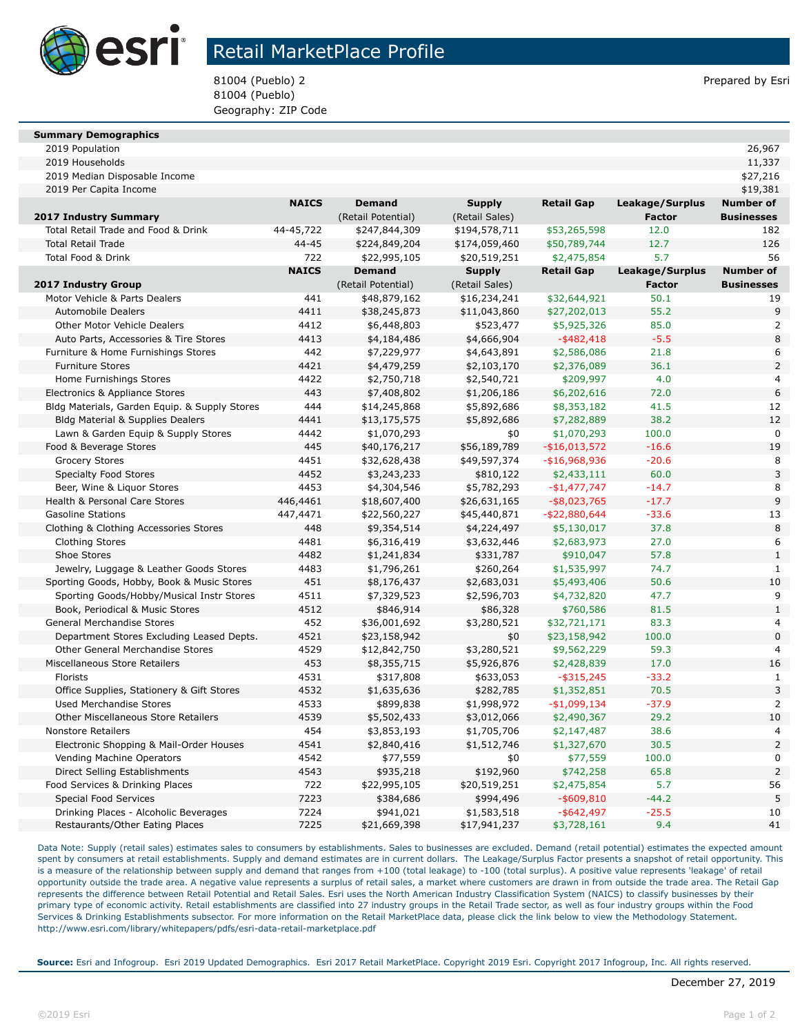

## Retail MarketPlace Profile

81004 (Pueblo) 2 **Prepared by Esri** Prepared by Esri 81004 (Pueblo) Geography: ZIP Code

| <b>Summary Demographics</b> |  |
|-----------------------------|--|

| 2019 Households                                                          |              |                           |                             |                              |                 | 11,337            |
|--------------------------------------------------------------------------|--------------|---------------------------|-----------------------------|------------------------------|-----------------|-------------------|
| 2019 Median Disposable Income                                            |              |                           |                             |                              |                 | \$27,216          |
| 2019 Per Capita Income                                                   |              |                           |                             |                              |                 | \$19,381          |
|                                                                          | <b>NAICS</b> | <b>Demand</b>             | <b>Supply</b>               | <b>Retail Gap</b>            | Leakage/Surplus | <b>Number of</b>  |
| 2017 Industry Summary                                                    |              | (Retail Potential)        | (Retail Sales)              |                              | <b>Factor</b>   | <b>Businesses</b> |
| Total Retail Trade and Food & Drink                                      | 44-45,722    | \$247,844,309             | \$194,578,711               | \$53,265,598                 | 12.0            | 182               |
| <b>Total Retail Trade</b>                                                | $44 - 45$    | \$224,849,204             | \$174,059,460               | \$50,789,744                 | 12.7            | 126               |
| <b>Total Food &amp; Drink</b>                                            | 722          | \$22,995,105              | \$20,519,251                | \$2,475,854                  | 5.7             | 56                |
|                                                                          | <b>NAICS</b> | <b>Demand</b>             | <b>Supply</b>               | <b>Retail Gap</b>            | Leakage/Surplus | <b>Number of</b>  |
| 2017 Industry Group                                                      |              | (Retail Potential)        | (Retail Sales)              |                              | <b>Factor</b>   | <b>Businesses</b> |
| Motor Vehicle & Parts Dealers                                            | 441          | \$48,879,162              | \$16,234,241                | \$32,644,921                 | 50.1            | 19                |
| <b>Automobile Dealers</b>                                                | 4411         | \$38,245,873              | \$11,043,860                | \$27,202,013                 | 55.2            | 9                 |
| <b>Other Motor Vehicle Dealers</b>                                       | 4412         | \$6,448,803               | \$523,477                   | \$5,925,326                  | 85.0            | $\overline{a}$    |
| Auto Parts, Accessories & Tire Stores                                    | 4413         | \$4,184,486               | \$4,666,904                 | $-$ \$482,418                | $-5.5$          | 8                 |
| Furniture & Home Furnishings Stores                                      | 442          | \$7,229,977               | \$4,643,891                 | \$2,586,086                  | 21.8            | 6                 |
| <b>Furniture Stores</b>                                                  | 4421         | \$4,479,259               | \$2,103,170                 | \$2,376,089                  | 36.1            | $\overline{2}$    |
| Home Furnishings Stores                                                  | 4422         | \$2,750,718               | \$2,540,721                 | \$209,997                    | 4.0             | $\overline{4}$    |
| Electronics & Appliance Stores                                           | 443          | \$7,408,802               | \$1,206,186                 | \$6,202,616                  | 72.0            | 6                 |
| Bldg Materials, Garden Equip. & Supply Stores                            | 444          | \$14,245,868              | \$5,892,686                 | \$8,353,182                  | 41.5            | 12                |
| Bldg Material & Supplies Dealers                                         | 4441         | \$13,175,575              | \$5,892,686                 | \$7,282,889                  | 38.2            | 12                |
| Lawn & Garden Equip & Supply Stores                                      | 4442         | \$1,070,293               | \$0                         | \$1,070,293                  | 100.0           | $\mathbf 0$       |
| Food & Beverage Stores                                                   | 445          | \$40,176,217              | \$56,189,789                | $-$ \$16,013,572             | $-16.6$         | 19                |
| <b>Grocery Stores</b>                                                    | 4451         | \$32,628,438              | \$49,597,374                | -\$16,968,936                | $-20.6$         | 8                 |
| <b>Specialty Food Stores</b>                                             | 4452         | \$3,243,233               | \$810,122                   | \$2,433,111                  | 60.0            | 3                 |
| Beer, Wine & Liquor Stores                                               | 4453         | \$4,304,546               | \$5,782,293                 | $-$1,477,747$                | $-14.7$         | 8                 |
| Health & Personal Care Stores                                            | 446,4461     | \$18,607,400              | \$26,631,165                | $-$ \$8,023,765              | $-17.7$         | 9                 |
| <b>Gasoline Stations</b>                                                 | 447,4471     | \$22,560,227              | \$45,440,871                | $-$ \$22,880,644             | $-33.6$         | 13                |
| Clothing & Clothing Accessories Stores                                   | 448          | \$9,354,514               | \$4,224,497                 | \$5,130,017                  | 37.8            | 8                 |
| <b>Clothing Stores</b>                                                   | 4481         | \$6,316,419               | \$3,632,446                 | \$2,683,973                  | 27.0            | 6                 |
| Shoe Stores                                                              | 4482         | \$1,241,834               | \$331,787                   | \$910,047                    | 57.8            | $\mathbf{1}$      |
| Jewelry, Luggage & Leather Goods Stores                                  | 4483         | \$1,796,261               | \$260,264                   | \$1,535,997                  | 74.7            | $\mathbf{1}$      |
| Sporting Goods, Hobby, Book & Music Stores                               | 451          | \$8,176,437               | \$2,683,031                 | \$5,493,406                  | 50.6            | 10                |
| Sporting Goods/Hobby/Musical Instr Stores                                | 4511         | \$7,329,523               | \$2,596,703                 | \$4,732,820                  | 47.7            | 9                 |
| Book, Periodical & Music Stores                                          | 4512         | \$846,914                 | \$86,328                    | \$760,586                    | 81.5            | $\mathbf{1}$      |
| General Merchandise Stores                                               | 452          | \$36,001,692              | \$3,280,521                 | \$32,721,171                 | 83.3            | 4                 |
| Department Stores Excluding Leased Depts.                                | 4521         | \$23,158,942              | \$0                         | \$23,158,942                 | 100.0           | $\overline{0}$    |
| Other General Merchandise Stores                                         | 4529         | \$12,842,750              | \$3,280,521                 | \$9,562,229                  | 59.3            |                   |
| Miscellaneous Store Retailers                                            | 453          | \$8,355,715               | \$5,926,876                 | \$2,428,839                  | 17.0            | 16                |
| Florists                                                                 | 4531         | \$317,808                 | \$633,053                   | $-$ \$315,245                | $-33.2$         | $\mathbf{1}$      |
| Office Supplies, Stationery & Gift Stores                                | 4532         | \$1,635,636               | \$282,785                   | \$1,352,851                  | 70.5            | 3                 |
| <b>Used Merchandise Stores</b>                                           | 4533         | \$899,838                 | \$1,998,972                 | $-$1,099,134$                | $-37.9$         | $\overline{2}$    |
| Other Miscellaneous Store Retailers                                      | 4539         | \$5,502,433               | \$3,012,066                 | \$2,490,367                  | 29.2            | 10                |
| <b>Nonstore Retailers</b>                                                | 454          | \$3,853,193               | \$1,705,706                 | \$2,147,487                  | 38.6            | 4                 |
| Electronic Shopping & Mail-Order Houses                                  | 4541         | \$2,840,416               | \$1,512,746                 | \$1,327,670                  | 30.5            | $\overline{2}$    |
| Vending Machine Operators                                                | 4542         | \$77,559                  | \$0                         | \$77,559                     | 100.0           | $\overline{0}$    |
| Direct Selling Establishments                                            | 4543         | \$935,218                 | \$192,960                   | \$742,258                    | 65.8            | $\overline{2}$    |
| Food Services & Drinking Places                                          | 722          | \$22,995,105              | \$20,519,251                | \$2,475,854                  | 5.7             | 56<br>5           |
| Special Food Services                                                    | 7223         | \$384,686                 | \$994,496                   | $-$ \$609,810                | $-44.2$         |                   |
| Drinking Places - Alcoholic Beverages<br>Restaurants/Other Eating Places | 7224<br>7225 | \$941,021<br>\$21,669,398 | \$1,583,518<br>\$17,941,237 | $-$ \$642,497<br>\$3,728,161 | $-25.5$<br>9.4  | 10<br>41          |
|                                                                          |              |                           |                             |                              |                 |                   |

Data Note: Supply (retail sales) estimates sales to consumers by establishments. Sales to businesses are excluded. Demand (retail potential) estimates the expected amount spent by consumers at retail establishments. Supply and demand estimates are in current dollars. The Leakage/Surplus Factor presents a snapshot of retail opportunity. This is a measure of the relationship between supply and demand that ranges from +100 (total leakage) to -100 (total surplus). A positive value represents 'leakage' of retail opportunity outside the trade area. A negative value represents a surplus of retail sales, a market where customers are drawn in from outside the trade area. The Retail Gap represents the difference between Retail Potential and Retail Sales. Esri uses the North American Industry Classification System (NAICS) to classify businesses by their primary type of economic activity. Retail establishments are classified into 27 industry groups in the Retail Trade sector, as well as four industry groups within the Food Services & Drinking Establishments subsector. For more information on the Retail MarketPlace data, please click the link below to view the Methodology Statement. http://www.esri.com/library/whitepapers/pdfs/esri-data-retail-marketplace.pdf

**Source:** Esri and Infogroup. Esri 2019 Updated Demographics. Esri 2017 Retail MarketPlace. Copyright 2019 Esri. Copyright 2017 Infogroup, Inc. All rights reserved.